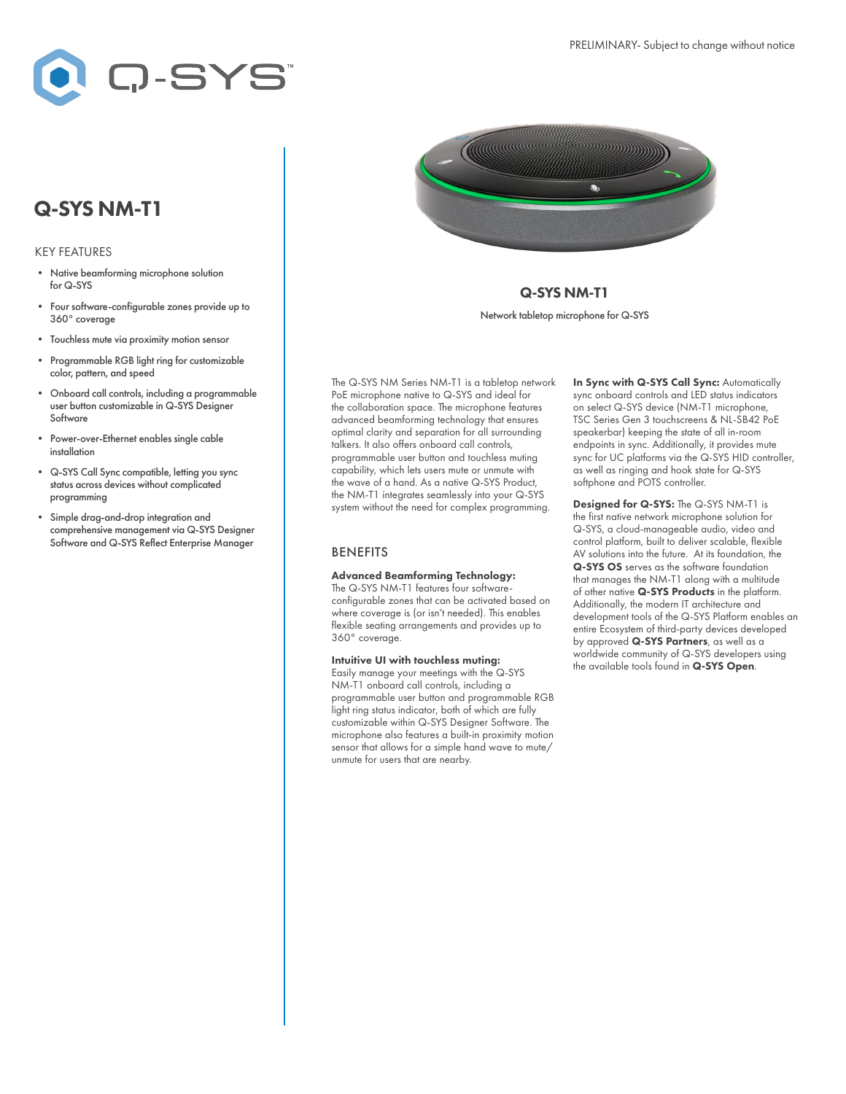

# Q-SYS NM-T1

#### KEY FEATURES

- Native beamforming microphone solution for Q-SYS
- Four software-configurable zones provide up to 360° coverage
- Touchless mute via proximity motion sensor
- Programmable RGB light ring for customizable color, pattern, and speed
- Onboard call controls, including a programmable user button customizable in Q-SYS Designer Software
- Power-over-Ethernet enables single cable installation
- Q-SYS Call Sync compatible, letting you sync status across devices without complicated programming
- Simple drag-and-drop integration and comprehensive management via Q-SYS Designer Software and Q-SYS Reflect Enterprise Manager



## Q-SYS NM-T1 Network tabletop microphone for Q-SYS

The Q-SYS NM Series NM-T1 is a tabletop network PoE microphone native to Q-SYS and ideal for the collaboration space. The microphone features advanced beamforming technology that ensures optimal clarity and separation for all surrounding talkers. It also offers onboard call controls, programmable user button and touchless muting capability, which lets users mute or unmute with the wave of a hand. As a native Q-SYS Product, the NM-T1 integrates seamlessly into your Q-SYS system without the need for complex programming.

#### **BENEFITS**

### Advanced Beamforming Technology:

The Q-SYS NM-T1 features four softwareconfigurable zones that can be activated based on where coverage is (or isn't needed). This enables flexible seating arrangements and provides up to 360° coverage.

Intuitive UI with touchless muting: Easily manage your meetings with the Q-SYS NM-T1 onboard call controls, including a programmable user button and programmable RGB light ring status indicator, both of which are fully customizable within Q-SYS Designer Software. The microphone also features a built-in proximity motion sensor that allows for a simple hand wave to mute/ unmute for users that are nearby.

In Sync with Q-SYS Call Sync: Automatically sync onboard controls and LED status indicators on select Q-SYS device (NM-T1 microphone, TSC Series Gen 3 touchscreens & NL-SB42 PoE speakerbar) keeping the state of all in-room endpoints in sync. Additionally, it provides mute sync for UC platforms via the Q-SYS HID controller, as well as ringing and hook state for Q-SYS softphone and POTS controller.

Designed for Q-SYS: The Q-SYS NM-T1 is the first native network microphone solution for Q-SYS, a cloud-manageable audio, video and control platform, built to deliver scalable, flexible AV solutions into the future. At its foundation, the Q-SYS OS serves as the software foundation that manages the NM-T1 along with a multitude of other native Q-SYS Products in the platform. Additionally, the modern IT architecture and development tools of the Q-SYS Platform enables an entire Ecosystem of third-party devices developed by approved Q-SYS Partners, as well as a worldwide community of Q-SYS developers using the available tools found in Q-SYS Open.